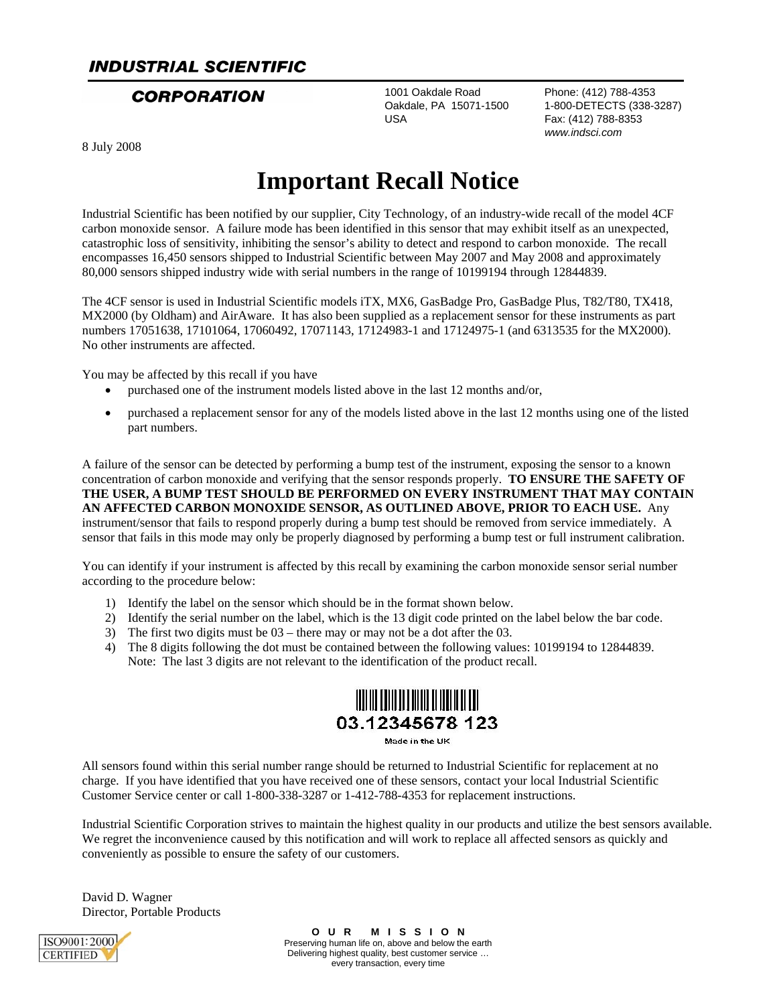### **INDUSTRIAL SCIENTIFIC**

1001 Oakdale Road Phone: (412) 788-4353 USA Fax: (412) 788-8353

**CORPORATION** 1001 Oakdale Road Phone: (412) 788-4353<br>Oakdale, PA 15071-1500 1-800-DETECTS (338-3287) *www.indsci.com*

8 July 2008

# **Important Recall Notice**

Industrial Scientific has been notified by our supplier, City Technology, of an industry-wide recall of the model 4CF carbon monoxide sensor. A failure mode has been identified in this sensor that may exhibit itself as an unexpected, catastrophic loss of sensitivity, inhibiting the sensor's ability to detect and respond to carbon monoxide. The recall encompasses 16,450 sensors shipped to Industrial Scientific between May 2007 and May 2008 and approximately 80,000 sensors shipped industry wide with serial numbers in the range of 10199194 through 12844839.

The 4CF sensor is used in Industrial Scientific models iTX, MX6, GasBadge Pro, GasBadge Plus, T82/T80, TX418, MX2000 (by Oldham) and AirAware. It has also been supplied as a replacement sensor for these instruments as part numbers 17051638, 17101064, 17060492, 17071143, 17124983-1 and 17124975-1 (and 6313535 for the MX2000). No other instruments are affected.

You may be affected by this recall if you have

- purchased one of the instrument models listed above in the last 12 months and/or,
- purchased a replacement sensor for any of the models listed above in the last 12 months using one of the listed part numbers.

A failure of the sensor can be detected by performing a bump test of the instrument, exposing the sensor to a known concentration of carbon monoxide and verifying that the sensor responds properly. **TO ENSURE THE SAFETY OF THE USER, A BUMP TEST SHOULD BE PERFORMED ON EVERY INSTRUMENT THAT MAY CONTAIN AN AFFECTED CARBON MONOXIDE SENSOR, AS OUTLINED ABOVE, PRIOR TO EACH USE.** Any instrument/sensor that fails to respond properly during a bump test should be removed from service immediately. A sensor that fails in this mode may only be properly diagnosed by performing a bump test or full instrument calibration.

You can identify if your instrument is affected by this recall by examining the carbon monoxide sensor serial number according to the procedure below:

- 1) Identify the label on the sensor which should be in the format shown below.
- 2) Identify the serial number on the label, which is the 13 digit code printed on the label below the bar code.
- 3) The first two digits must be 03 there may or may not be a dot after the 03.
- 4) The 8 digits following the dot must be contained between the following values: 10199194 to 12844839. Note: The last 3 digits are not relevant to the identification of the product recall.



Made in the UK

All sensors found within this serial number range should be returned to Industrial Scientific for replacement at no charge. If you have identified that you have received one of these sensors, contact your local Industrial Scientific Customer Service center or call 1-800-338-3287 or 1-412-788-4353 for replacement instructions.

Industrial Scientific Corporation strives to maintain the highest quality in our products and utilize the best sensors available. We regret the inconvenience caused by this notification and will work to replace all affected sensors as quickly and conveniently as possible to ensure the safety of our customers.

David D. Wagner Director, Portable Products



**O U R M I S S I O N** Preserving human life on, above and below the earth Delivering highest quality, best customer service … every transaction, every time